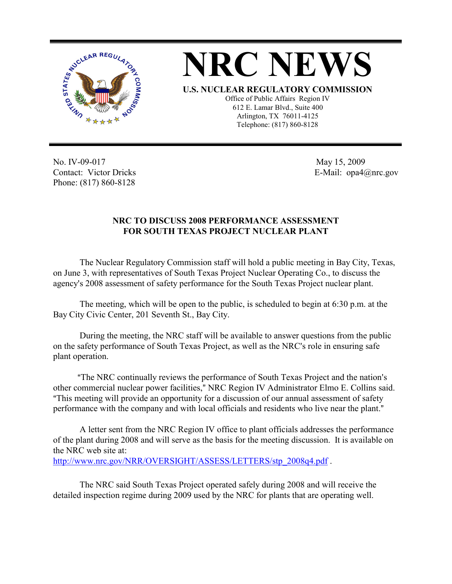



No. IV-09-017 Contact: Victor Dricks Phone: (817) 860-8128

 May 15, 2009 E-Mail: opa4@nrc.gov

## **NRC TO DISCUSS 2008 PERFORMANCE ASSESSMENT FOR SOUTH TEXAS PROJECT NUCLEAR PLANT**

The Nuclear Regulatory Commission staff will hold a public meeting in Bay City, Texas, on June 3, with representatives of South Texas Project Nuclear Operating Co., to discuss the agency's 2008 assessment of safety performance for the South Texas Project nuclear plant.

The meeting, which will be open to the public, is scheduled to begin at 6:30 p.m. at the Bay City Civic Center, 201 Seventh St., Bay City.

During the meeting, the NRC staff will be available to answer questions from the public on the safety performance of South Texas Project, as well as the NRC's role in ensuring safe plant operation.

"The NRC continually reviews the performance of South Texas Project and the nation's other commercial nuclear power facilities," NRC Region IV Administrator Elmo E. Collins said. "This meeting will provide an opportunity for a discussion of our annual assessment of safety performance with the company and with local officials and residents who live near the plant."

A letter sent from the NRC Region IV office to plant officials addresses the performance of the plant during 2008 and will serve as the basis for the meeting discussion. It is available on the NRC web site at: http://www.nrc.gov/NRR/OVERSIGHT/ASSESS/LETTERS/stp\_2008q4.pdf .

The NRC said South Texas Project operated safely during 2008 and will receive the detailed inspection regime during 2009 used by the NRC for plants that are operating well.